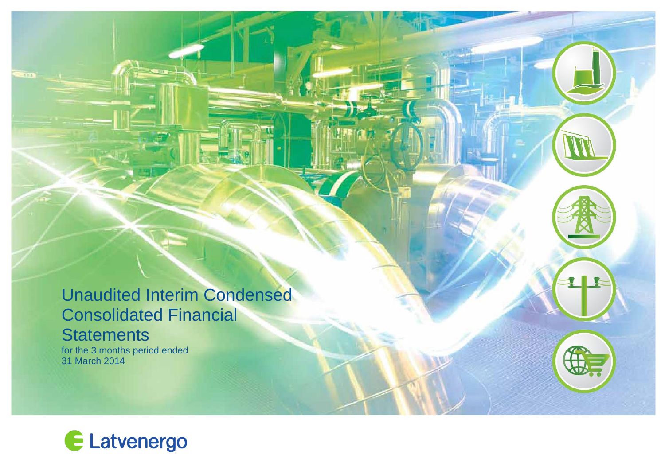# Unaudited Interim Condensed Consolidated Financial **Statements**

for the 3 months period ended 31 March 2014

-117

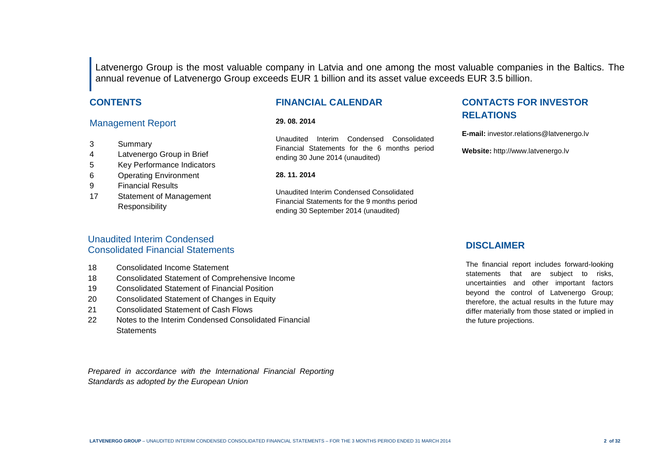Latvenergo Group is the most valuable company in Latvia and one among the most valuable companies in the Baltics. The annual revenue of Latvenergo Group exceeds EUR 1 billion and its asset value exceeds EUR 3.5 billion.

#### **CONTENTS**

#### Management Report

- 3 Summary
- 4 Latvenergo Group in Brief
- 5 Key Performance Indicators
- 6 Operating Environment
- 9 Financial Results
- 17 Statement of Management Responsibility

#### **FINANCIAL CALENDAR**

#### **29. 08. 2014**

Unaudited Interim Condensed Consolidated Financial Statements for the 6 months period ending 30 June 2014 (unaudited)

#### **28. 11. 2014**

Unaudited Interim Condensed Consolidated Financial Statements for the 9 months period ending 30 September 2014 (unaudited)

### **CONTACTS FOR INVESTOR RELATIONS**

**E-mail:** investor.relations@latvenergo.lv

**Website:** http://www.latvenergo.lv

#### Unaudited Interim Condensed Consolidated Financial Statements

- 18 Consolidated Income Statement
- 18 Consolidated Statement of Comprehensive Income
- 19 Consolidated Statement of Financial Position
- 20 Consolidated Statement of Changes in Equity
- 21 Consolidated Statement of Cash Flows
- 22 Notes to the Interim Condensed Consolidated Financial **Statements**

*Prepared in accordance with the International Financial Reporting Standards as adopted by the European Union*

#### **DISCLAIMER**

The financial report includes forward-looking statements that are subject to risks, uncertainties and other important factors beyond the control of Latvenergo Group; therefore, the actual results in the future may differ materially from those stated or implied in the future projections.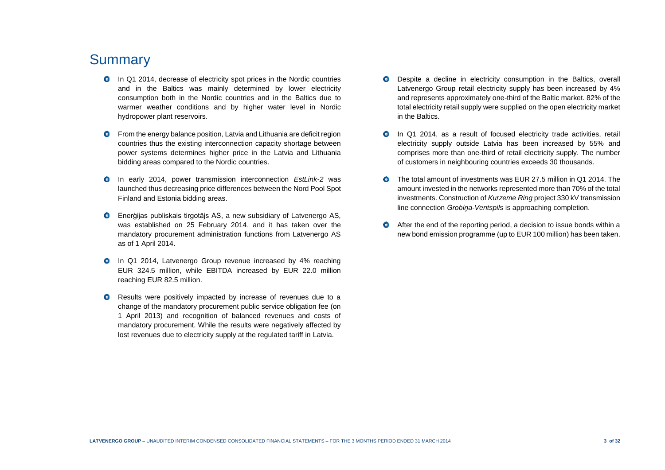## **Summary**

- **O** In Q1 2014, decrease of electricity spot prices in the Nordic countries and in the Baltics was mainly determined by lower electricity consumption both in the Nordic countries and in the Baltics due to warmer weather conditions and by higher water level in Nordic hydropower plant reservoirs.
- $\bullet$ From the energy balance position, Latvia and Lithuania are deficit region countries thus the existing interconnection capacity shortage between power systems determines higher price in the Latvia and Lithuania bidding areas compared to the Nordic countries.
- In early 2014, power transmission interconnection *EstLink-2* was launched thus decreasing price differences between the Nord Pool Spot Finland and Estonia bidding areas.
- Enerģijas publiskais tirgotājs AS, a new subsidiary of Latvenergo AS,  $\bullet$ was established on 25 February 2014, and it has taken over the mandatory procurement administration functions from Latvenergo AS as of 1 April 2014.
- $\bullet$ In Q1 2014, Latvenergo Group revenue increased by 4% reaching EUR 324.5 million, while EBITDA increased by EUR 22.0 million reaching EUR 82.5 million.
- $\bullet$ Results were positively impacted by increase of revenues due to a change of the mandatory procurement public service obligation fee (on 1 April 2013) and recognition of balanced revenues and costs of mandatory procurement. While the results were negatively affected by lost revenues due to electricity supply at the regulated tariff in Latvia.
- $\bullet$ Despite a decline in electricity consumption in the Baltics, overall Latvenergo Group retail electricity supply has been increased by 4% and represents approximately one-third of the Baltic market. 82% of the total electricity retail supply were supplied on the open electricity market in the Baltics.
- In Q1 2014, as a result of focused electricity trade activities, retail  $\bullet$ electricity supply outside Latvia has been increased by 55% and comprises more than one-third of retail electricity supply. The number of customers in neighbouring countries exceeds 30 thousands.
- The total amount of investments was EUR 27.5 million in Q1 2014. The  $\bullet$ amount invested in the networks represented more than 70% of the total investments. Construction of *Kurzeme Ring* project 330 kV transmission line connection *Grobiņa-Ventspils* is approaching completion.
- $\bullet$ After the end of the reporting period, a decision to issue bonds within a new bond emission programme (up to EUR 100 million) has been taken.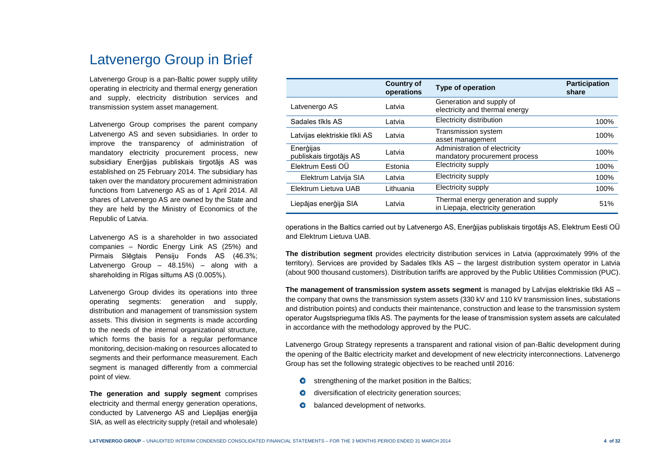# Latvenergo Group in Brief

Latvenergo Group is a pan-Baltic power supply utility operating in electricity and thermal energy generation and supply, electricity distribution services and transmission system asset management.

Latvenergo Group comprises the parent company Latvenergo AS and seven subsidiaries. In order to improve the transparency of administration of mandatory electricity procurement process, new subsidiary Enerģijas publiskais tirgotājs AS was established on 25 February 2014. The subsidiary has taken over the mandatory procurement administration functions from Latvenergo AS as of 1 April 2014. All shares of Latvenergo AS are owned by the State and they are held by the Ministry of Economics of the Republic of Latvia.

Latvenergo AS is a shareholder in two associated companies – Nordic Energy Link AS (25%) and Pirmais Slēgtais Pensiju Fonds AS (46.3%; Latvenergo Group – 48.15%) – along with a shareholding in Rīgas siltums AS (0.005%).

Latvenergo Group divides its operations into three operating segments: generation and supply, distribution and management of transmission system assets. This division in segments is made according to the needs of the internal organizational structure, which forms the basis for a regular performance monitoring, decision-making on resources allocated to segments and their performance measurement. Each segment is managed differently from a commercial point of view.

**The generation and supply segment** comprises electricity and thermal energy generation operations, conducted by Latvenergo AS and Liepājas enerģija SIA, as well as electricity supply (retail and wholesale)

|                                      | <b>Country of</b><br>operations | Type of operation                                                          | <b>Participation</b><br>share |
|--------------------------------------|---------------------------------|----------------------------------------------------------------------------|-------------------------------|
| Latvenergo AS                        | Latvia                          | Generation and supply of<br>electricity and thermal energy                 |                               |
| Sadales tīkls AS                     | Latvia                          | Electricity distribution                                                   | 100%                          |
| Latvijas elektriskie tīkli AS        | Latvia                          | Transmission system<br>asset management                                    | 100%                          |
| Enerģijas<br>publiskais tirgotājs AS | Latvia                          | Administration of electricity<br>mandatory procurement process             | 100%                          |
| Elektrum Eesti OÜ                    | Estonia                         | Electricity supply                                                         | 100%                          |
| Elektrum Latvija SIA                 | Latvia                          | Electricity supply                                                         | 100%                          |
| Elektrum Lietuva UAB                 | Lithuania                       | Electricity supply                                                         | 100%                          |
| Liepājas enerģija SIA                | Latvia                          | Thermal energy generation and supply<br>in Liepaja, electricity generation | 51%                           |

operations in the Baltics carried out by Latvenergo AS, Enerģijas publiskais tirgotājs AS, Elektrum Eesti OÜ and Elektrum Lietuva UAB.

**The distribution segment** provides electricity distribution services in Latvia (approximately 99% of the territory). Services are provided by Sadales tīkls AS – the largest distribution system operator in Latvia (about 900 thousand customers). Distribution tariffs are approved by the Public Utilities Commission (PUC).

**The management of transmission system assets segment** is managed by Latvijas elektriskie tīkli AS – the company that owns the transmission system assets (330 kV and 110 kV transmission lines, substations and distribution points) and conducts their maintenance, construction and lease to the transmission system operator Augstsprieguma tīkls AS. The payments for the lease of transmission system assets are calculated in accordance with the methodology approved by the PUC.

Latvenergo Group Strategy represents a transparent and rational vision of pan-Baltic development during the opening of the Baltic electricity market and development of new electricity interconnections. Latvenergo Group has set the following strategic objectives to be reached until 2016:

- $\bullet$ strengthening of the market position in the Baltics;
- diversification of electricity generation sources;
- balanced development of networks.  $\bullet$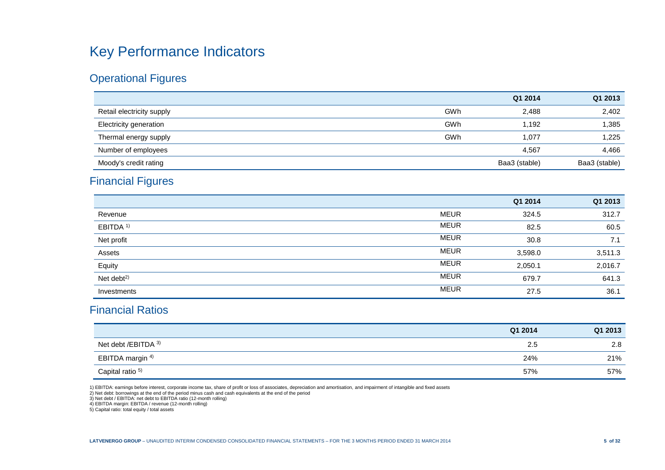# Key Performance Indicators

## Operational Figures

|                               |     | Q1 2014       | Q1 2013       |
|-------------------------------|-----|---------------|---------------|
| Retail electricity supply     | GWh | 2,488         | 2,402         |
| <b>Electricity generation</b> | GWh | 1,192         | 1,385         |
| Thermal energy supply         | GWh | 1.077         | 1,225         |
| Number of employees           |     | 4,567         | 4,466         |
| Moody's credit rating         |     | Baa3 (stable) | Baa3 (stable) |

## Financial Figures

|                        |             | Q1 2014 | Q1 2013 |
|------------------------|-------------|---------|---------|
| Revenue                | <b>MEUR</b> | 324.5   | 312.7   |
| EBITDA <sup>1)</sup>   | <b>MEUR</b> | 82.5    | 60.5    |
| Net profit             | <b>MEUR</b> | 30.8    | 7.1     |
| Assets                 | <b>MEUR</b> | 3,598.0 | 3,511.3 |
| Equity                 | <b>MEUR</b> | 2,050.1 | 2,016.7 |
| Net debt <sup>2)</sup> | <b>MEUR</b> | 679.7   | 641.3   |
| Investments            | <b>MEUR</b> | 27.5    | 36.1    |

### Financial Ratios

|                             | Q1 2014 | Q1 2013 |
|-----------------------------|---------|---------|
| Net debt /EBITDA 3)         | 2.5     | 2.8     |
| EBITDA margin <sup>4)</sup> | 24%     | 21%     |
| Capital ratio <sup>5)</sup> | 57%     | 57%     |

1) EBITDA: earnings before interest, corporate income tax, share of profit or loss of associates, depreciation and amortisation, and impairment of intangible and fixed assets

2) Net debt: borrowings at the end of the period minus cash and cash equivalents at the end of the period 3) Net debt / EBITDA: net debt to EBITDA ratio (12-month rolling)

4) EBITDA margin: EBITDA / revenue (12-month rolling) 5) Capital ratio: total equity / total assets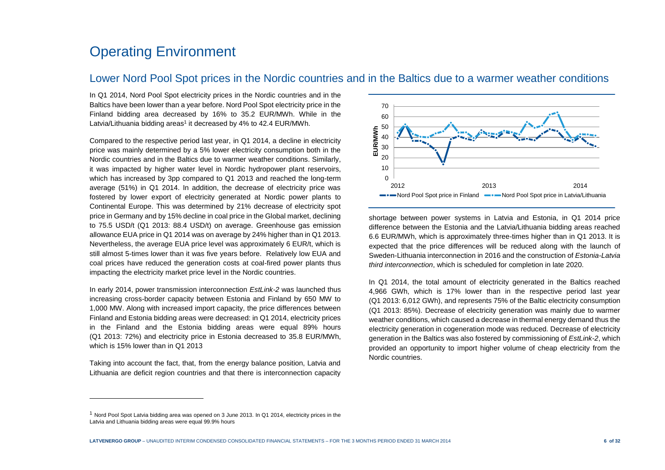## Operating Environment

#### Lower Nord Pool Spot prices in the Nordic countries and in the Baltics due to a warmer weather conditions

In Q1 2014, Nord Pool Spot electricity prices in the Nordic countries and in the Baltics have been lower than a year before. Nord Pool Spot electricity price in the Finland bidding area decreased by 16% to 35.2 EUR/MWh. While in the Latvia/Lithuania bidding areas<sup>1</sup> it decreased by 4% to 42.4 EUR/MWh.

Compared to the respective period last year, in Q1 2014, a decline in electricity price was mainly determined by a 5% lower electricity consumption both in the Nordic countries and in the Baltics due to warmer weather conditions. Similarly, it was impacted by higher water level in Nordic hydropower plant reservoirs, which has increased by 3pp compared to Q1 2013 and reached the long-term average (51%) in Q1 2014. In addition, the decrease of electricity price was fostered by lower export of electricity generated at Nordic power plants to Continental Europe. This was determined by 21% decrease of electricity spot price in Germany and by 15% decline in coal price in the Global market, declining to 75.5 USD/t (Q1 2013: 88.4 USD/t) on average. Greenhouse gas emission allowance EUA price in Q1 2014 was on average by 24% higher than in Q1 2013. Nevertheless, the average EUA price level was approximately 6 EUR/t, which is still almost 5-times lower than it was five years before. Relatively low EUA and coal prices have reduced the generation costs at coal-fired power plants thus impacting the electricity market price level in the Nordic countries.

In early 2014, power transmission interconnection *EstLink-2* was launched thus increasing cross-border capacity between Estonia and Finland by 650 MW to 1,000 MW. Along with increased import capacity, the price differences between Finland and Estonia bidding areas were decreased: in Q1 2014, electricity prices in the Finland and the Estonia bidding areas were equal 89% hours (Q1 2013: 72%) and electricity price in Estonia decreased to 35.8 EUR/MWh, which is 15% lower than in Q1 2013

Taking into account the fact, that, from the energy balance position, Latvia and Lithuania are deficit region countries and that there is interconnection capacity



shortage between power systems in Latvia and Estonia, in Q1 2014 price difference between the Estonia and the Latvia/Lithuania bidding areas reached 6.6 EUR/MWh, which is approximately three-times higher than in Q1 2013. It is expected that the price differences will be reduced along with the launch of Sweden-Lithuania interconnection in 2016 and the construction of *Estonia-Latvia third interconnection*, which is scheduled for completion in late 2020.

In Q1 2014, the total amount of electricity generated in the Baltics reached 4,966 GWh, which is 17% lower than in the respective period last year (Q1 2013: 6,012 GWh), and represents 75% of the Baltic electricity consumption (Q1 2013: 85%). Decrease of electricity generation was mainly due to warmer weather conditions, which caused a decrease in thermal energy demand thus the electricity generation in cogeneration mode was reduced. Decrease of electricity generation in the Baltics was also fostered by commissioning of *EstLink-2*, which provided an opportunity to import higher volume of cheap electricity from the Nordic countries.

l

<sup>1</sup> Nord Pool Spot Latvia bidding area was opened on 3 June 2013. In Q1 2014, electricity prices in the Latvia and Lithuania bidding areas were equal 99.9% hours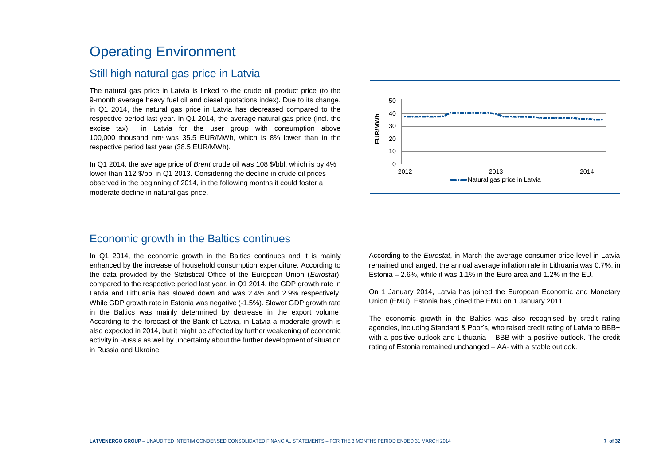# Operating Environment

### Still high natural gas price in Latvia

The natural gas price in Latvia is linked to the crude oil product price (to the 9-month average heavy fuel oil and diesel quotations index). Due to its change, in Q1 2014, the natural gas price in Latvia has decreased compared to the respective period last year. In Q1 2014, the average natural gas price (incl. the excise tax) in Latvia for the user group with consumption above 100,000 thousand nm<sup>3</sup> was 35.5 EUR/MWh, which is 8% lower than in the respective period last year (38.5 EUR/MWh).

In Q1 2014, the average price of *Brent* crude oil was 108 \$/bbl, which is by 4% lower than 112 \$/bbl in Q1 2013. Considering the decline in crude oil prices observed in the beginning of 2014, in the following months it could foster a moderate decline in natural gas price.

### Economic growth in the Baltics continues

In Q1 2014, the economic growth in the Baltics continues and it is mainly enhanced by the increase of household consumption expenditure. According to the data provided by the Statistical Office of the European Union (*Eurostat*), compared to the respective period last year, in Q1 2014, the GDP growth rate in Latvia and Lithuania has slowed down and was 2.4% and 2.9% respectively. While GDP growth rate in Estonia was negative (-1.5%). Slower GDP growth rate in the Baltics was mainly determined by decrease in the export volume. According to the forecast of the Bank of Latvia, in Latvia a moderate growth is also expected in 2014, but it might be affected by further weakening of economic activity in Russia as well by uncertainty about the further development of situation in Russia and Ukraine.



According to the *Eurostat*, in March the average consumer price level in Latvia remained unchanged, the annual average inflation rate in Lithuania was 0.7%, in Estonia – 2.6%, while it was 1.1% in the Euro area and 1.2% in the EU.

On 1 January 2014, Latvia has joined the European Economic and Monetary Union (EMU). Estonia has joined the EMU on 1 January 2011.

The economic growth in the Baltics was also recognised by credit rating agencies, including Standard & Poor's, who raised credit rating of Latvia to BBB+ with a positive outlook and Lithuania – BBB with a positive outlook. The credit rating of Estonia remained unchanged – AA- with a stable outlook.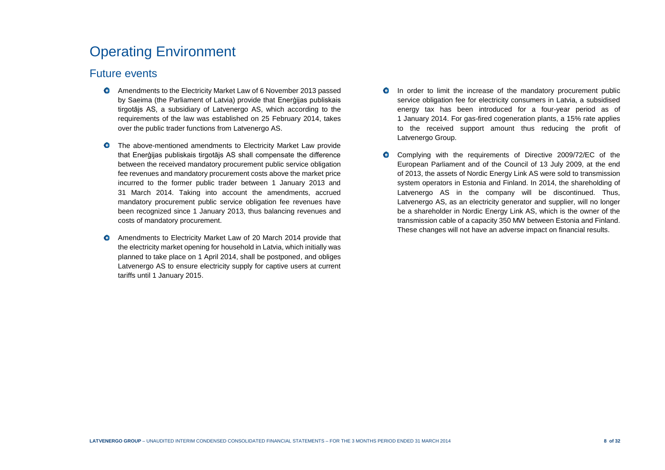# Operating Environment

### Future events

- Amendments to the Electricity Market Law of 6 November 2013 passed by Saeima (the Parliament of Latvia) provide that Enerģijas publiskais tirgotājs AS, a subsidiary of Latvenergo AS, which according to the requirements of the law was established on 25 February 2014, takes over the public trader functions from Latvenergo AS.
- $\bullet$ The above-mentioned amendments to Electricity Market Law provide that Enerģijas publiskais tirgotājs AS shall compensate the difference between the received mandatory procurement public service obligation fee revenues and mandatory procurement costs above the market price incurred to the former public trader between 1 January 2013 and 31 March 2014. Taking into account the amendments, accrued mandatory procurement public service obligation fee revenues have been recognized since 1 January 2013, thus balancing revenues and costs of mandatory procurement.
- $\bullet$ Amendments to Electricity Market Law of 20 March 2014 provide that the electricity market opening for household in Latvia, which initially was planned to take place on 1 April 2014, shall be postponed, and obliges Latvenergo AS to ensure electricity supply for captive users at current tariffs until 1 January 2015.
- $\bullet$ In order to limit the increase of the mandatory procurement public service obligation fee for electricity consumers in Latvia, a subsidised energy tax has been introduced for a four-year period as of 1 January 2014. For gas-fired cogeneration plants, a 15% rate applies to the received support amount thus reducing the profit of Latvenergo Group.
- Complying with the requirements of Directive 2009/72/EC of the  $\bullet$ European Parliament and of the Council of 13 July 2009, at the end of 2013, the assets of Nordic Energy Link AS were sold to transmission system operators in Estonia and Finland. In 2014, the shareholding of Latvenergo AS in the company will be discontinued. Thus, Latvenergo AS, as an electricity generator and supplier, will no longer be a shareholder in Nordic Energy Link AS, which is the owner of the transmission cable of a capacity 350 MW between Estonia and Finland. These changes will not have an adverse impact on financial results.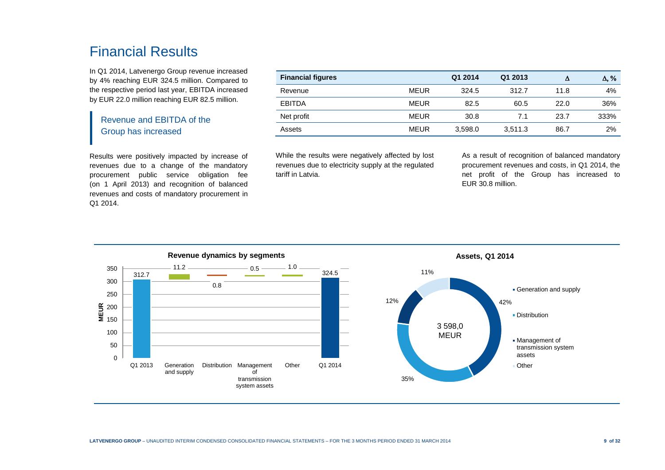## Financial Results

In Q1 2014, Latvenergo Group revenue increased by 4% reaching EUR 324.5 million. Compared to the respective period last year, EBITDA increased by EUR 22.0 million reaching EUR 82.5 million.

### Revenue and EBITDA of the Group has increased

Results were positively impacted by increase of revenues due to a change of the mandatory procurement public service obligation fee (on 1 April 2013) and recognition of balanced revenues and costs of mandatory procurement in Q1 2014.

| <b>Financial figures</b> |             | Q1 2014 | Q1 2013 |      | $\Delta$ , % |
|--------------------------|-------------|---------|---------|------|--------------|
| Revenue                  | <b>MEUR</b> | 324.5   | 312.7   | 11.8 | 4%           |
| <b>EBITDA</b>            | <b>MEUR</b> | 82.5    | 60.5    | 22.0 | 36%          |
| Net profit               | <b>MEUR</b> | 30.8    | 7.1     | 23.7 | 333%         |
| Assets                   | <b>MEUR</b> | 3,598.0 | 3,511.3 | 86.7 | 2%           |

While the results were negatively affected by lost revenues due to electricity supply at the regulated tariff in Latvia.

As a result of recognition of balanced mandatory procurement revenues and costs, in Q1 2014, the net profit of the Group has increased to EUR 30.8 million.

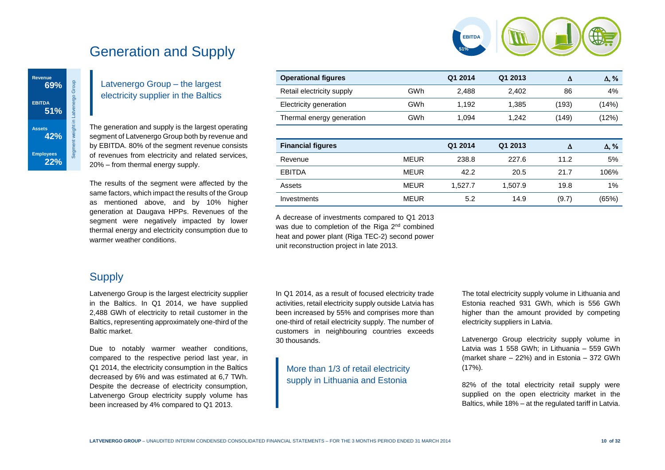

# Generation and Supply

### Latvenergo Group – the largest electricity supplier in the Baltics

The generation and supply is the largest operating segment of Latvenergo Group both by revenue and by EBITDA. 80% of the segment revenue consists of revenues from electricity and related services, 20% – from thermal energy supply.

The results of the segment were affected by the same factors, which impact the results of the Group as mentioned above, and by 10% higher generation at Daugava HPPs. Revenues of the segment were negatively impacted by lower thermal energy and electricity consumption due to warmer weather conditions.

| <b>Operational figures</b> |             | Q1 2014 | Q1 2013 | Δ     | $\Delta$ , % |
|----------------------------|-------------|---------|---------|-------|--------------|
| Retail electricity supply  | <b>GWh</b>  | 2,488   | 2,402   | 86    | 4%           |
| Electricity generation     | GWh         | 1,192   | 1,385   | (193) | (14%)        |
| Thermal energy generation  | GWh         | 1.094   | 1,242   | (149) | (12%)        |
|                            |             |         |         |       |              |
|                            |             |         |         |       |              |
| <b>Financial figures</b>   |             | Q1 2014 | Q1 2013 | Δ     | $\Delta, \%$ |
| Revenue                    | <b>MEUR</b> | 238.8   | 227.6   | 11.2  | 5%           |
| <b>EBITDA</b>              | <b>MEUR</b> | 42.2    | 20.5    | 21.7  | 106%         |
| Assets                     | <b>MEUR</b> | 1,527.7 | 1,507.9 | 19.8  | 1%           |
| Investments                | <b>MEUR</b> | 5.2     | 14.9    | (9.7) | (65%)        |

A decrease of investments compared to Q1 2013 was due to completion of the Riga 2<sup>nd</sup> combined heat and power plant (Riga TEC-2) second power unit reconstruction project in late 2013.

## **Supply**

Latvenergo Group is the largest electricity supplier in the Baltics. In Q1 2014, we have supplied 2,488 GWh of electricity to retail customer in the Baltics, representing approximately one-third of the Baltic market.

Due to notably warmer weather conditions, compared to the respective period last year, in Q1 2014, the electricity consumption in the Baltics decreased by 6% and was estimated at 6,7 TWh. Despite the decrease of electricity consumption, Latvenergo Group electricity supply volume has been increased by 4% compared to Q1 2013.

In Q1 2014, as a result of focused electricity trade activities, retail electricity supply outside Latvia has been increased by 55% and comprises more than one-third of retail electricity supply. The number of customers in neighbouring countries exceeds 30 thousands.

More than 1/3 of retail electricity supply in Lithuania and Estonia

The total electricity supply volume in Lithuania and Estonia reached 931 GWh, which is 556 GWh higher than the amount provided by competing electricity suppliers in Latvia.

Latvenergo Group electricity supply volume in Latvia was 1 558 GWh; in Lithuania – 559 GWh (market share – 22%) and in Estonia – 372 GWh (17%).

82% of the total electricity retail supply were supplied on the open electricity market in the Baltics, while 18% – at the regulated tariff in Latvia.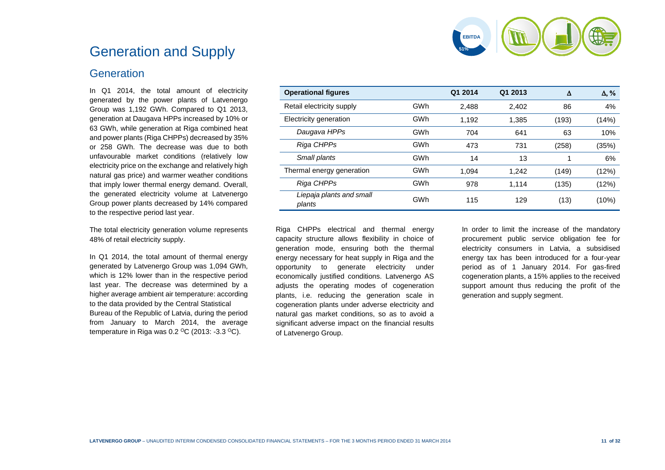

# Generation and Supply

### **Generation**

In Q1 2014, the total amount of electricity generated by the power plants of Latvenergo Group was 1,192 GWh. Compared to Q1 2013, generation at Daugava HPPs increased by 10% or 63 GWh, while generation at Riga combined heat and power plants (Riga CHPPs) decreased by 35% or 258 GWh. The decrease was due to both unfavourable market conditions (relatively low electricity price on the exchange and relatively high natural gas price) and warmer weather conditions that imply lower thermal energy demand. Overall, the generated electricity volume at Latvenergo Group power plants decreased by 14% compared to the respective period last year.

The total electricity generation volume represents 48% of retail electricity supply.

In Q1 2014, the total amount of thermal energy generated by Latvenergo Group was 1,094 GWh, which is 12% lower than in the respective period last year. The decrease was determined by a higher average ambient air temperature: according to the data provided by the Central Statistical Bureau of the Republic of Latvia, during the period from January to March 2014, the average temperature in Riga was 0.2 <sup>o</sup>C (2013: -3.3 <sup>o</sup>C).

| <b>Operational figures</b>         |     | Q1 2014 | Q1 2013 | Δ     | $\Delta$ , % |
|------------------------------------|-----|---------|---------|-------|--------------|
| Retail electricity supply          | GWh | 2,488   | 2,402   | 86    | 4%           |
| Electricity generation             | GWh | 1,192   | 1,385   | (193) | (14%)        |
| Daugava HPPs                       | GWh | 704     | 641     | 63    | 10%          |
| Riga CHPPs                         | GWh | 473     | 731     | (258) | (35%)        |
| Small plants                       | GWh | 14      | 13      | 1     | 6%           |
| Thermal energy generation          | GWh | 1.094   | 1.242   | (149) | (12%)        |
| Riga CHPPs                         | GWh | 978     | 1,114   | (135) | (12%)        |
| Liepaja plants and small<br>plants | GWh | 115     | 129     | (13)  | (10%)        |

Riga CHPPs electrical and thermal energy capacity structure allows flexibility in choice of generation mode, ensuring both the thermal energy necessary for heat supply in Riga and the opportunity to generate electricity under economically justified conditions. Latvenergo AS adjusts the operating modes of cogeneration plants, i.e. reducing the generation scale in cogeneration plants under adverse electricity and natural gas market conditions, so as to avoid a significant adverse impact on the financial results of Latvenergo Group.

In order to limit the increase of the mandatory procurement public service obligation fee for electricity consumers in Latvia, a subsidised energy tax has been introduced for a four-year period as of 1 January 2014. For gas-fired cogeneration plants, a 15% applies to the received support amount thus reducing the profit of the generation and supply segment.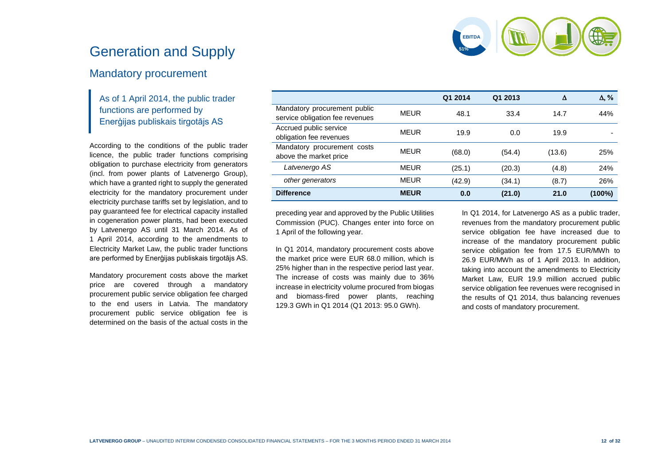

# Generation and Supply

### Mandatory procurement

### As of 1 April 2014, the public trader functions are performed by Enerģijas publiskais tirgotājs AS

According to the conditions of the public trader licence, the public trader functions comprising obligation to purchase electricity from generators (incl. from power plants of Latvenergo Group), which have a granted right to supply the generated electricity for the mandatory procurement under electricity purchase tariffs set by legislation, and to pay guaranteed fee for electrical capacity installed in cogeneration power plants, had been executed by Latvenergo AS until 31 March 2014. As of 1 April 2014, according to the amendments to Electricity Market Law, the public trader functions are performed by Enerģijas publiskais tirgotājs AS.

Mandatory procurement costs above the market price are covered through a mandatory procurement public service obligation fee charged to the end users in Latvia. The mandatory procurement public service obligation fee is determined on the basis of the actual costs in the

|                                                                 |             | Q1 2014 | Q1 2013 | Δ      | $\Delta$ , % |
|-----------------------------------------------------------------|-------------|---------|---------|--------|--------------|
| Mandatory procurement public<br>service obligation fee revenues | MEUR        | 48.1    | 33.4    | 14.7   | 44%          |
| Accrued public service<br>obligation fee revenues               | <b>MEUR</b> | 19.9    | 0.0     | 19.9   |              |
| Mandatory procurement costs<br>above the market price           | MEUR        | (68.0)  | (54.4)  | (13.6) | 25%          |
| Latvenergo AS                                                   | <b>MEUR</b> | (25.1)  | (20.3)  | (4.8)  | 24%          |
| other generators                                                | <b>MEUR</b> | (42.9)  | (34.1)  | (8.7)  | 26%          |
| <b>Difference</b>                                               | <b>MEUR</b> | 0.0     | (21.0)  | 21.0   | (100%)       |

preceding year and approved by the Public Utilities Commission (PUC). Changes enter into force on 1 April of the following year.

In Q1 2014, mandatory procurement costs above the market price were EUR 68.0 million, which is 25% higher than in the respective period last year. The increase of costs was mainly due to 36% increase in electricity volume procured from biogas and biomass-fired power plants, reaching 129.3 GWh in Q1 2014 (Q1 2013: 95.0 GWh).

In Q1 2014, for Latvenergo AS as a public trader, revenues from the mandatory procurement public service obligation fee have increased due to increase of the mandatory procurement public service obligation fee from 17.5 EUR/MWh to 26.9 EUR/MWh as of 1 April 2013. In addition, taking into account the amendments to Electricity Market Law, EUR 19.9 million accrued public service obligation fee revenues were recognised in the results of Q1 2014, thus balancing revenues and costs of mandatory procurement.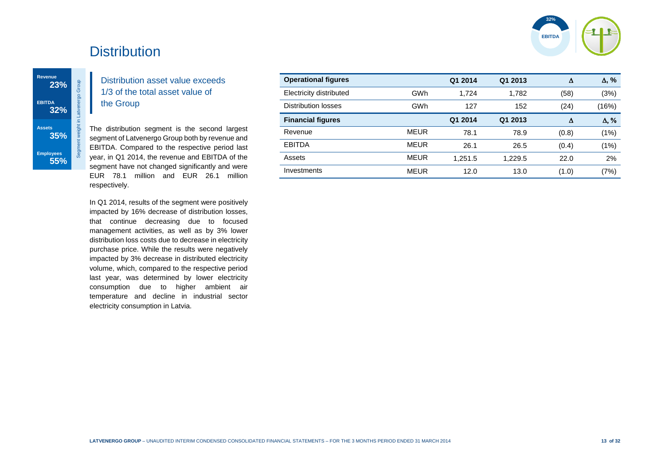

# **Distribution**

Segment weight in Latvenergo Group

### Distribution asset value exceeds 1/3 of the total asset value of the Group

The distribution segment is the second largest segment of Latvenergo Group both by revenue and EBITDA. Compared to the respective period last year, in Q1 2014, the revenue and EBITDA of the segment have not changed significantly and were EUR 78.1 million and EUR 26.1 million respectively.

 $\mathcal{A}$ 

In Q1 2014, results of the segment were positively impacted by 16% decrease of distribution losses, that continue decreasing due to focused management activities, as well as by 3% lower distribution loss costs due to decrease in electricity purchase price. While the results were negatively impacted by 3% decrease in distributed electricity volume, which, compared to the respective period last year, was determined by lower electricity consumption due to higher ambient air temperature and decline in industrial sector electricity consumption in Latvia.

| <b>Operational figures</b> |             | Q1 2014 | Q1 2013 | Δ     | $\Delta$ , % |
|----------------------------|-------------|---------|---------|-------|--------------|
| Electricity distributed    | GWh         | 1.724   | 1.782   | (58)  | (3%)         |
| Distribution losses        | GWh         | 127     | 152     | (24)  | (16%)        |
| <b>Financial figures</b>   |             | Q1 2014 | Q1 2013 | Δ     | $\Delta$ , % |
| Revenue                    | <b>MEUR</b> | 78.1    | 78.9    | (0.8) | (1%)         |
| <b>EBITDA</b>              | <b>MEUR</b> | 26.1    | 26.5    | (0.4) | (1%)         |
| Assets                     | <b>MEUR</b> | 1,251.5 | 1,229.5 | 22.0  | 2%           |
| Investments                | <b>MEUR</b> | 12.0    | 13.0    | (1.0) | (7%)         |
|                            |             |         |         |       |              |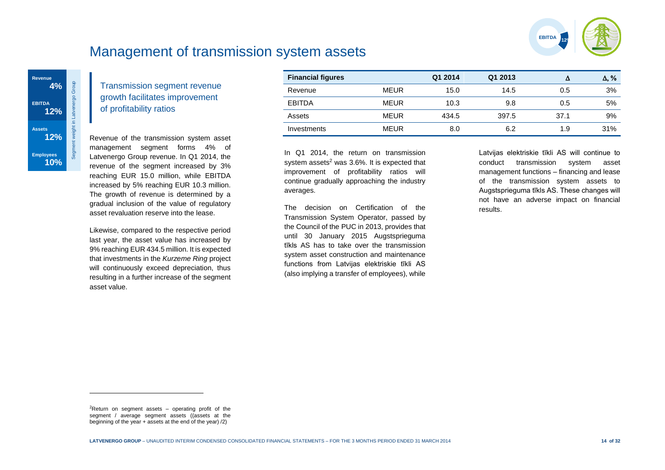

# Management of transmission system assets



Transmission segment revenue growth facilitates improvement of profitability ratios

Revenue of the transmission system asset management segment forms 4% of Latvenergo Group revenue. In Q1 2014, the revenue of the segment increased by 3% reaching EUR 15.0 million, while EBITDA increased by 5% reaching EUR 10.3 million. The growth of revenue is determined by a gradual inclusion of the value of regulatory asset revaluation reserve into the lease.

Likewise, compared to the respective period last year, the asset value has increased by 9% reaching EUR 434.5 million. It is expected that investments in the *Kurzeme Ring* project will continuously exceed depreciation, thus resulting in a further increase of the segment asset value.

| <b>Financial figures</b> |             | Q1 2014 | Q1 2013 |      | $\Delta$ , % |
|--------------------------|-------------|---------|---------|------|--------------|
| Revenue                  | <b>MEUR</b> | 15.0    | 14.5    | 0.5  | 3%           |
| <b>EBITDA</b>            | <b>MEUR</b> | 10.3    | 9.8     | 0.5  | 5%           |
| Assets                   | <b>MEUR</b> | 434.5   | 397.5   | 37.1 | 9%           |
| Investments              | <b>MEUR</b> | 8.0     | 6.2     | 1.9  | 31%          |

In Q1 2014, the return on transmission system assets $2$  was 3.6%. It is expected that improvement of profitability ratios will continue gradually approaching the industry averages.

The decision on Certification of the Transmission System Operator, passed by the Council of the PUC in 2013, provides that until 30 January 2015 Augstsprieguma tīkls AS has to take over the transmission system asset construction and maintenance functions from Latvijas elektriskie tīkli AS (also implying a transfer of employees), while

Latvijas elektriskie tīkli AS will continue to conduct transmission system asset management functions – financing and lease of the transmission system assets to Augstsprieguma tīkls AS. These changes will not have an adverse impact on financial results.

l

<sup>&</sup>lt;sup>2</sup>Return on segment assets – operating profit of the segment / average segment assets ((assets at the beginning of the year  $+$  assets at the end of the year)  $(2)$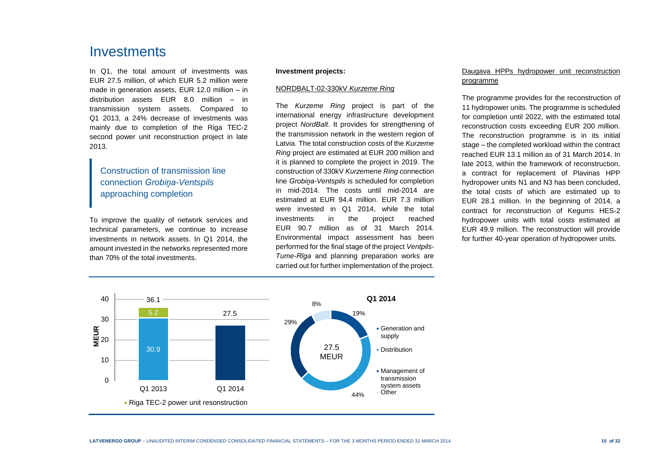## Investments

In Q1, the total amount of investments was EUR 27.5 million, of which EUR 5.2 million were made in generation assets, EUR 12.0 million – in distribution assets EUR 8.0 million – in transmission system assets. Compared to Q1 2013, a 24% decrease of investments was mainly due to completion of the Riga TEC-2 second power unit reconstruction project in late 2013.

Construction of transmission line connection *Grobiņa-Ventspils* approaching completion

To improve the quality of network services and technical parameters, we continue to increase investments in network assets. In Q1 2014, the amount invested in the networks represented more than 70% of the total investments.

#### **Investment projects:**

#### NORDBALT-02-330kV *Kurzeme Ring*

The *Kurzeme Ring* project is part of the international energy infrastructure development project *NordBalt*. It provides for strengthening of the transmission network in the western region of Latvia. The total construction costs of the *Kurzeme Ring* project are estimated at EUR 200 million and it is planned to complete the project in 2019. The construction of 330kV *Kurzemene Ring* connection line *Grobiņa-Ventspils* is scheduled for completion in mid-2014. The costs until mid-2014 are estimated at EUR 94.4 million. EUR 7.3 million were invested in Q1 2014, while the total investments in the project reached EUR 90.7 million as of 31 March 2014. Environmental impact assessment has been performed for the final stage of the project *Ventpils-Tume-Rīga* and planning preparation works are carried out for further implementation of the project.

#### Daugava HPPs hydropower unit reconstruction programme

The programme provides for the reconstruction of 11 hydropower units. The programme is scheduled for completion until 2022, with the estimated total reconstruction costs exceeding EUR 200 million. The reconstruction programme is in its initial stage – the completed workload within the contract reached EUR 13.1 million as of 31 March 2014. In late 2013, within the framework of reconstruction, a contract for replacement of Plavinas HPP hydropower units N1 and N3 has been concluded, the total costs of which are estimated up to EUR 28.1 million. In the beginning of 2014, a contract for reconstruction of Kegums HES-2 hydropower units with total costs estimated at EUR 49.9 million. The reconstruction will provide for further 40-year operation of hydropower units.

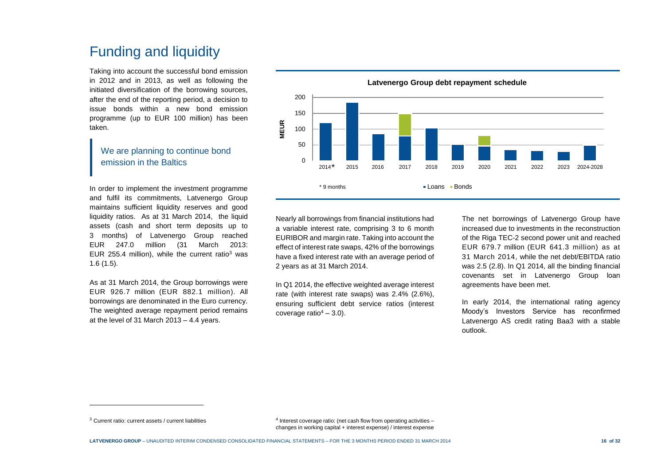# Funding and liquidity

Taking into account the successful bond emission in 2012 and in 2013, as well as following the initiated diversification of the borrowing sources, after the end of the reporting period, a decision to issue bonds within a new bond emission programme (up to EUR 100 million) has been taken.

### We are planning to continue bond emission in the Baltics

In order to implement the investment programme and fulfil its commitments, Latvenergo Group maintains sufficient liquidity reserves and good liquidity ratios. As at 31 March 2014, the liquid assets (cash and short term deposits up to 3 months) of Latvenergo Group reached EUR 247.0 million (31 March 2013: EUR 255.4 million), while the current ratio<sup>3</sup> was 1.6 (1.5).

As at 31 March 2014, the Group borrowings were EUR 926.7 million (EUR 882.1 million). All borrowings are denominated in the Euro currency. The weighted average repayment period remains at the level of 31 March 2013 – 4.4 years.

 $\Omega$ 50 100 150 200 2014 2015 2016 2017 2018 2019 2020 2021 2022 2023 2024-2028 **MEUR** • Loans • Bonds  $2014*$ \* 9 months

**Latvenergo Group debt repayment schedule**

Nearly all borrowings from financial institutions had a variable interest rate, comprising 3 to 6 month EURIBOR and margin rate. Taking into account the effect of interest rate swaps, 42% of the borrowings have a fixed interest rate with an average period of 2 years as at 31 March 2014.

In Q1 2014, the effective weighted average interest rate (with interest rate swaps) was 2.4% (2.6%), ensuring sufficient debt service ratios (interest coverage ratio $4 - 3.0$ ).

The net borrowings of Latvenergo Group have increased due to investments in the reconstruction of the Riga TEC-2 second power unit and reached EUR 679.7 million (EUR 641.3 million) as at 31 March 2014, while the net debt/EBITDA ratio was 2.5 (2.8). In Q1 2014, all the binding financial covenants set in Latvenergo Group loan agreements have been met.

In early 2014, the international rating agency Moody's Investors Service has reconfirmed Latvenergo AS credit rating Baa3 with a stable outlook.

l

<sup>3</sup> Current ratio: current assets / current liabilities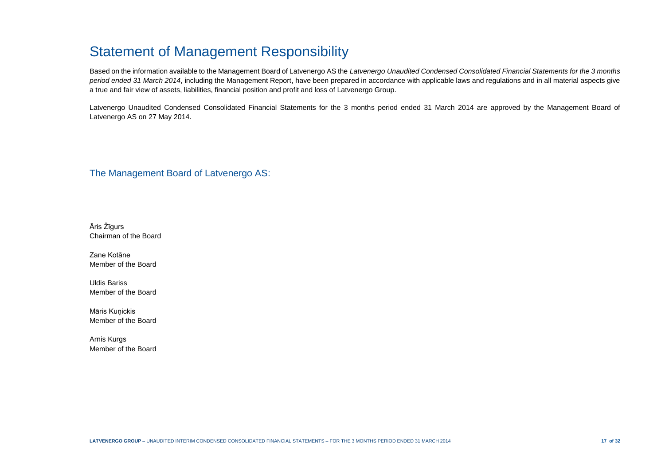# Statement of Management Responsibility

Based on the information available to the Management Board of Latvenergo AS the *Latvenergo Unaudited Condensed Consolidated Financial Statements for the 3 months period ended 31 March 2014*, including the Management Report, have been prepared in accordance with applicable laws and regulations and in all material aspects give a true and fair view of assets, liabilities, financial position and profit and loss of Latvenergo Group.

Latvenergo Unaudited Condensed Consolidated Financial Statements for the 3 months period ended 31 March 2014 are approved by the Management Board of Latvenergo AS on 27 May 2014.

The Management Board of Latvenergo AS:

Āris Žīgurs Chairman of the Board

Zane Kotāne Member of the Board

Uldis Bariss Member of the Board

Māris Kuņickis Member of the Board

Arnis Kurgs Member of the Board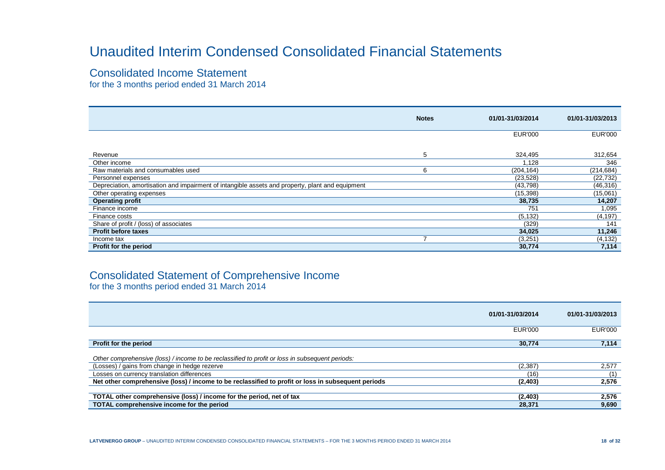# Unaudited Interim Condensed Consolidated Financial Statements

### Consolidated Income Statement

for the 3 months period ended 31 March 2014

|                                                                                                  | <b>Notes</b> | 01/01-31/03/2014 | 01/01-31/03/2013 |
|--------------------------------------------------------------------------------------------------|--------------|------------------|------------------|
|                                                                                                  |              | <b>EUR'000</b>   | <b>EUR'000</b>   |
|                                                                                                  |              |                  |                  |
| Revenue                                                                                          | 5            | 324,495          | 312,654          |
| Other income                                                                                     |              | 128.             | 346              |
| Raw materials and consumables used                                                               | 6            | (204, 164)       | (214, 684)       |
| Personnel expenses                                                                               |              | (23, 528)        | (22, 732)        |
| Depreciation, amortisation and impairment of intangible assets and property, plant and equipment |              | (43,798)         | (46, 316)        |
| Other operating expenses                                                                         |              | (15, 398)        | (15,061)         |
| <b>Operating profit</b>                                                                          |              | 38,735           | 14,207           |
| Finance income                                                                                   |              | 751              | 1,095            |
| Finance costs                                                                                    |              | (5, 132)         | (4, 197)         |
| Share of profit / (loss) of associates                                                           |              | (329)            | 141              |
| <b>Profit before taxes</b>                                                                       |              | 34,025           | 11,246           |
| Income tax                                                                                       |              | (3,251)          | (4, 132)         |
| Profit for the period                                                                            |              | 30,774           | 7,114            |

## Consolidated Statement of Comprehensive Income

for the 3 months period ended 31 March 2014

|                                                                                                    | 01/01-31/03/2014 | 01/01-31/03/2013 |
|----------------------------------------------------------------------------------------------------|------------------|------------------|
|                                                                                                    | <b>EUR'000</b>   | <b>EUR'000</b>   |
| Profit for the period                                                                              | 30.774           | 7,114            |
| Other comprehensive (loss) / income to be reclassified to profit or loss in subsequent periods:    |                  |                  |
| (Losses) / gains from change in hedge rezerve                                                      | (2, 387)         | 2,577            |
| Losses on currency translation differences                                                         | (16)             | (1)              |
| Net other comprehensive (loss) / income to be reclassified to profit or loss in subsequent periods | (2,403)          | 2,576            |
|                                                                                                    |                  |                  |
| TOTAL other comprehensive (loss) / income for the period, net of tax                               | (2,403)          | 2,576            |
| TOTAL comprehensive income for the period                                                          | 28,371           | 9,690            |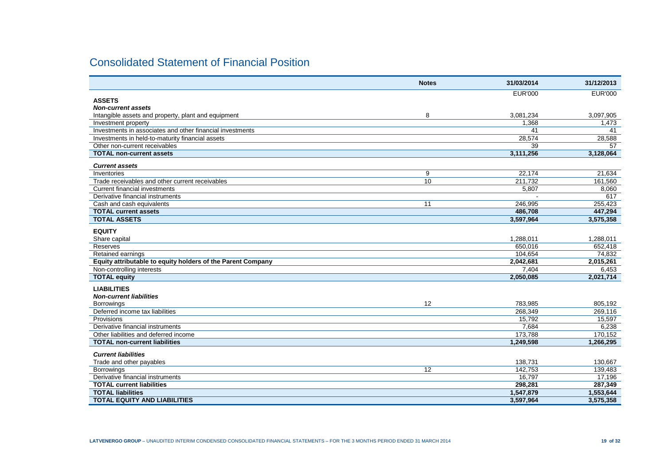## Consolidated Statement of Financial Position

|                                                                                  | <b>Notes</b> | 31/03/2014                | 31/12/2013           |
|----------------------------------------------------------------------------------|--------------|---------------------------|----------------------|
|                                                                                  |              | <b>EUR'000</b>            | <b>EUR'000</b>       |
| <b>ASSETS</b>                                                                    |              |                           |                      |
| <b>Non-current assets</b>                                                        |              |                           |                      |
| Intangible assets and property, plant and equipment                              | 8            | 3,081,234                 | 3,097,905            |
| Investment property<br>Investments in associates and other financial investments |              | 1.368                     | 1,473                |
|                                                                                  |              | 41                        | 41                   |
| Investments in held-to-maturity financial assets                                 |              | 28,574<br>$\overline{39}$ | 28,588<br>57         |
| Other non-current receivables<br><b>TOTAL non-current assets</b>                 |              | 3,111,256                 |                      |
|                                                                                  |              |                           | 3,128,064            |
| <b>Current assets</b>                                                            |              |                           |                      |
| Inventories                                                                      | 9            | 22,174                    | 21,634               |
| Trade receivables and other current receivables                                  | 10           | 211,732                   | 161,560              |
| <b>Current financial investments</b>                                             |              | 5,807                     | 8,060                |
| Derivative financial instruments                                                 |              |                           | 617                  |
| Cash and cash equivalents                                                        | 11           | 246,995                   | 255,423              |
| <b>TOTAL current assets</b>                                                      |              | 486.708                   | 447.294              |
| <b>TOTAL ASSETS</b>                                                              |              | 3.597.964                 | 3,575,358            |
|                                                                                  |              |                           |                      |
| <b>EQUITY</b>                                                                    |              |                           |                      |
| Share capital<br>Reserves                                                        |              | 1,288,011<br>650.016      | 1,288,011<br>652.418 |
|                                                                                  |              | 104,654                   | 74.832               |
| Retained earnings<br>Equity attributable to equity holders of the Parent Company |              |                           |                      |
|                                                                                  |              | 2,042,681                 | 2,015,261            |
| Non-controlling interests                                                        |              | 7,404                     | 6,453                |
| <b>TOTAL equity</b>                                                              |              | 2,050,085                 | 2,021,714            |
| <b>LIABILITIES</b>                                                               |              |                           |                      |
| <b>Non-current liabilities</b>                                                   |              |                           |                      |
| Borrowings                                                                       | 12           | 783,985                   | 805,192              |
| Deferred income tax liabilities                                                  |              | 268,349                   | 269,116              |
| Provisions                                                                       |              | 15,792                    | 15,597               |
| Derivative financial instruments                                                 |              | 7,684                     | 6,238                |
| Other liabilities and deferred income                                            |              | 173,788                   | 170,152              |
| <b>TOTAL non-current liabilities</b>                                             |              | 1,249,598                 | 1,266,295            |
| <b>Current liabilities</b>                                                       |              |                           |                      |
| Trade and other payables                                                         |              | 138,731                   | 130,667              |
|                                                                                  | 12           | 142.753                   | 139,483              |
| <b>Borrowings</b><br>Derivative financial instruments                            |              | 16.797                    | 17,196               |
| <b>TOTAL current liabilities</b>                                                 |              | 298,281                   | 287,349              |
| <b>TOTAL liabilities</b>                                                         |              | 1,547,879                 | 1,553,644            |
| <b>TOTAL EQUITY AND LIABILITIES</b>                                              |              | 3,597,964                 |                      |
|                                                                                  |              |                           | 3,575,358            |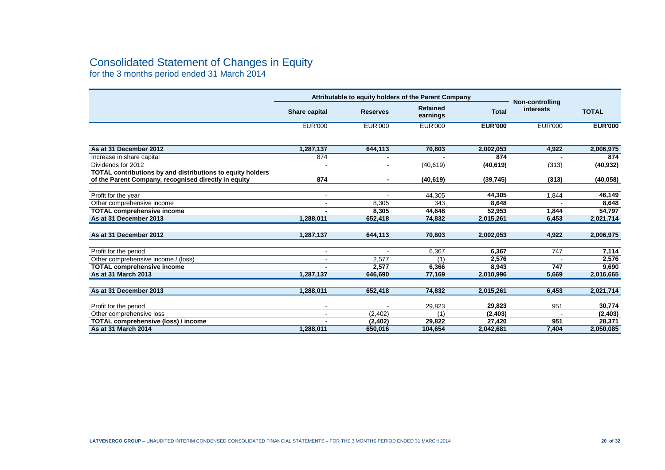## Consolidated Statement of Changes in Equity

for the 3 months period ended 31 March 2014

|                                                            | Attributable to equity holders of the Parent Company |                 |                             |                | <b>Non-controlling</b> |                |
|------------------------------------------------------------|------------------------------------------------------|-----------------|-----------------------------|----------------|------------------------|----------------|
|                                                            | Share capital                                        | <b>Reserves</b> | <b>Retained</b><br>earnings | <b>Total</b>   | interests              | <b>TOTAL</b>   |
|                                                            | <b>EUR'000</b>                                       | <b>EUR'000</b>  | <b>EUR'000</b>              | <b>EUR'000</b> | <b>EUR'000</b>         | <b>EUR'000</b> |
|                                                            |                                                      |                 |                             |                |                        |                |
| As at 31 December 2012                                     | 1,287,137                                            | 644,113         | 70,803                      | 2,002,053      | 4,922                  | 2,006,975      |
| Increase in share capital                                  | 874                                                  |                 |                             | 874            |                        | 874            |
| Dividends for 2012                                         | $\sim$                                               | $\sim$          | (40, 619)                   | (40, 619)      | (313)                  | (40, 932)      |
| TOTAL contributions by and distributions to equity holders |                                                      |                 |                             |                |                        |                |
| of the Parent Company, recognised directly in equity       | 874                                                  |                 | (40, 619)                   | (39, 745)      | (313)                  | (40, 058)      |
|                                                            |                                                      |                 |                             |                |                        |                |
| Profit for the year                                        |                                                      |                 | 44,305                      | 44,305         | 1,844                  | 46,149         |
| Other comprehensive income                                 |                                                      | 8,305           | 343                         | 8,648          |                        | 8,648          |
| <b>TOTAL comprehensive income</b>                          |                                                      | 8,305           | 44,648                      | 52,953         | 1,844                  | 54,797         |
| As at 31 December 2013                                     | 1,288,011                                            | 652,418         | 74,832                      | 2,015,261      | 6,453                  | 2,021,714      |
|                                                            |                                                      |                 |                             |                |                        |                |
| As at 31 December 2012                                     | 1,287,137                                            | 644.113         | 70.803                      | 2,002,053      | 4.922                  | 2,006,975      |
|                                                            |                                                      |                 |                             |                |                        |                |
| Profit for the period                                      | $\blacksquare$                                       |                 | 6,367                       | 6.367          | 747                    | 7,114          |
| Other comprehensive income / (loss)                        | $\blacksquare$                                       | 2.577           | (1)                         | 2,576          |                        | 2,576          |
| <b>TOTAL comprehensive income</b>                          |                                                      | 2,577           | 6,366                       | 8,943          | 747                    | 9,690          |
| As at 31 March 2013                                        | 1,287,137                                            | 646,690         | 77,169                      | 2,010,996      | 5,669                  | 2,016,665      |
|                                                            |                                                      |                 |                             |                |                        |                |
| As at 31 December 2013                                     | 1,288,011                                            | 652,418         | 74,832                      | 2,015,261      | 6,453                  | 2,021,714      |
|                                                            |                                                      |                 |                             |                |                        |                |
| Profit for the period                                      |                                                      |                 | 29,823                      | 29,823         | 951                    | 30,774         |
| Other comprehensive loss                                   |                                                      | (2, 402)        | (1)                         | (2, 403)       |                        | (2,403)        |
| <b>TOTAL comprehensive (loss) / income</b>                 |                                                      | (2, 402)        | 29.822                      | 27,420         | 951                    | 28,371         |
| As at 31 March 2014                                        | 1,288,011                                            | 650,016         | 104,654                     | 2,042,681      | 7,404                  | 2,050,085      |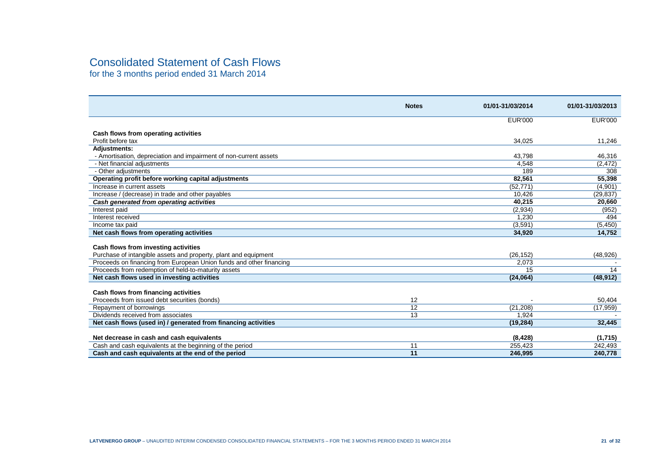## Consolidated Statement of Cash Flows

for the 3 months period ended 31 March 2014

|                                                                     | <b>Notes</b>    | 01/01-31/03/2014 | 01/01-31/03/2013 |
|---------------------------------------------------------------------|-----------------|------------------|------------------|
|                                                                     |                 | <b>EUR'000</b>   | <b>EUR'000</b>   |
| Cash flows from operating activities                                |                 |                  |                  |
| Profit before tax                                                   |                 | 34,025           | 11,246           |
| <b>Adjustments:</b>                                                 |                 |                  |                  |
| - Amortisation, depreciation and impairment of non-current assets   |                 | 43,798           | 46,316           |
| - Net financial adjustments                                         |                 | 4.548            | (2, 472)         |
| - Other adjustments                                                 |                 | 189              | 308              |
| Operating profit before working capital adjustments                 |                 | 82,561           | 55,398           |
| Increase in current assets                                          |                 | (52, 771)        | (4,901)          |
| Increase / (decrease) in trade and other payables                   |                 | 10.426           | (29, 837)        |
| Cash generated from operating activities                            |                 | 40,215           | 20,660           |
| Interest paid                                                       |                 | (2,934)          | (952)            |
| Interest received                                                   |                 | 1,230            | 494              |
| Income tax paid                                                     |                 | (3.591)          | (5, 450)         |
| Net cash flows from operating activities                            |                 | 34,920           | 14,752           |
|                                                                     |                 |                  |                  |
| Cash flows from investing activities                                |                 |                  |                  |
| Purchase of intangible assets and property, plant and equipment     |                 | (26, 152)        | (48, 926)        |
| Proceeds on financing from European Union funds and other financing |                 | 2,073            |                  |
| Proceeds from redemption of held-to-maturity assets                 |                 | 15               | 14               |
| Net cash flows used in investing activities                         |                 | (24,064)         | (48, 912)        |
|                                                                     |                 |                  |                  |
| Cash flows from financing activities                                |                 |                  |                  |
| Proceeds from issued debt securities (bonds)                        | 12              |                  | 50,404           |
| Repayment of borrowings                                             | $\overline{12}$ | (21, 208)        | (17, 959)        |
| Dividends received from associates                                  | 13              | 1,924            |                  |
| Net cash flows (used in) / generated from financing activities      |                 | (19, 284)        | 32,445           |
|                                                                     |                 |                  |                  |
| Net decrease in cash and cash equivalents                           |                 | (8, 428)         | (1,715)          |
| Cash and cash equivalents at the beginning of the period            | 11              | 255,423          | 242,493          |
| Cash and cash equivalents at the end of the period                  | 11              | 246,995          | 240,778          |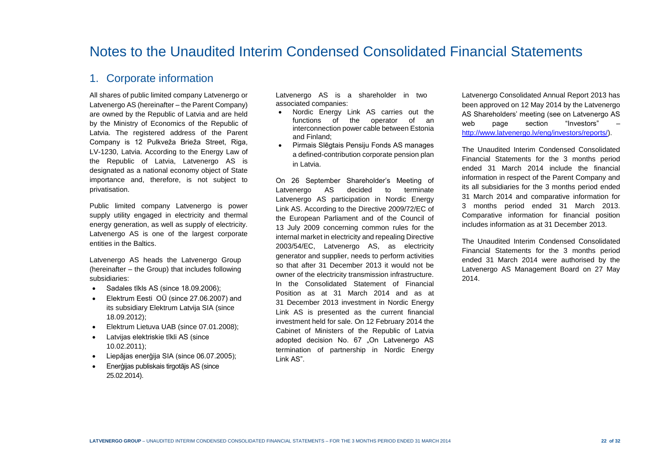## Notes to the Unaudited Interim Condensed Consolidated Financial Statements

### 1. Corporate information

All shares of public limited company Latvenergo or Latvenergo AS (hereinafter – the Parent Company) are owned by the Republic of Latvia and are held by the Ministry of Economics of the Republic of Latvia. The registered address of the Parent Company is 12 Pulkveža Brieža Street, Riga, LV-1230, Latvia. According to the Energy Law of the Republic of Latvia, Latvenergo AS is designated as a national economy object of State importance and, therefore, is not subject to privatisation.

Public limited company Latvenergo is power supply utility engaged in electricity and thermal energy generation, as well as supply of electricity. Latvenergo AS is one of the largest corporate entities in the Baltics.

Latvenergo AS heads the Latvenergo Group (hereinafter – the Group) that includes following subsidiaries:

- Sadales tīkls AS (since 18.09.2006);
- Elektrum Eesti OÜ (since 27.06.2007) and its subsidiary Elektrum Latvija SIA (since 18.09.2012);
- **Elektrum Lietuva UAB (since 07.01.2008);**
- Latvijas elektriskie tīkli AS (since 10.02.2011);
- Liepājas enerģija SIA (since 06.07.2005);
- Enerģijas publiskais tirgotājs AS (since 25.02.2014).

Latvenergo AS is a shareholder in two associated companies:

- Nordic Energy Link AS carries out the functions of the operator of an interconnection power cable between Estonia and Finland;
- Pirmais Slēgtais Pensiju Fonds AS manages a defined-contribution corporate pension plan in Latvia.

On 26 September Shareholder's Meeting of Latvenergo AS decided to terminate Latvenergo AS participation in Nordic Energy Link AS. According to the Directive 2009/72/EC of the European Parliament and of the Council of 13 July 2009 concerning common rules for the internal market in electricity and repealing Directive 2003/54/EC, Latvenergo AS, as electricity generator and supplier, needs to perform activities so that after 31 December 2013 it would not be owner of the electricity transmission infrastructure. In the Consolidated Statement of Financial Position as at 31 March 2014 and as at 31 December 2013 investment in Nordic Energy Link AS is presented as the current financial investment held for sale. On 12 February 2014 the Cabinet of Ministers of the Republic of Latvia adopted decision No. 67 "On Latvenergo AS termination of partnership in Nordic Energy Link AS".

Latvenergo Consolidated Annual Report 2013 has been approved on 12 May 2014 by the Latvenergo AS Shareholders' meeting (see on Latvenergo AS web page section "Investors" [http://www.latvenergo.lv/eng/investors/reports/\)](http://www.latvenergo.lv/eng/investors/reports/).

The Unaudited Interim Condensed Consolidated Financial Statements for the 3 months period ended 31 March 2014 include the financial information in respect of the Parent Company and its all subsidiaries for the 3 months period ended 31 March 2014 and comparative information for 3 months period ended 31 March 2013. Comparative information for financial position includes information as at 31 December 2013.

The Unaudited Interim Condensed Consolidated Financial Statements for the 3 months period ended 31 March 2014 were authorised by the Latvenergo AS Management Board on 27 May 2014.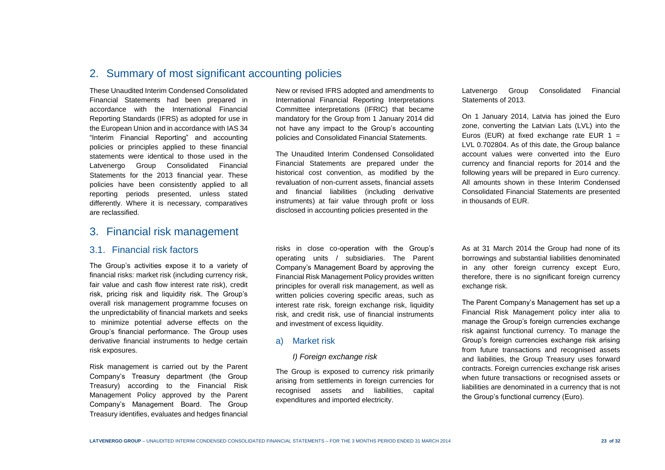## 2. Summary of most significant accounting policies

These Unaudited Interim Condensed Consolidated Financial Statements had been prepared in accordance with the International Financial Reporting Standards (IFRS) as adopted for use in the European Union and in accordance with IAS 34 "Interim Financial Reporting" and accounting policies or principles applied to these financial statements were identical to those used in the Latvenergo Group Consolidated Financial Statements for the 2013 financial year. These policies have been consistently applied to all reporting periods presented, unless stated differently. Where it is necessary, comparatives are reclassified.

### 3. Financial risk management

#### 3.1. Financial risk factors

The Group's activities expose it to a variety of financial risks: market risk (including currency risk, fair value and cash flow interest rate risk), credit risk, pricing risk and liquidity risk. The Group's overall risk management programme focuses on the unpredictability of financial markets and seeks to minimize potential adverse effects on the Group's financial performance. The Group uses derivative financial instruments to hedge certain risk exposures.

Risk management is carried out by the Parent Company's Treasury department (the Group Treasury) according to the Financial Risk Management Policy approved by the Parent Company's Management Board. The Group Treasury identifies, evaluates and hedges financial

New or revised IFRS adopted and amendments to International Financial Reporting Interpretations Committee interpretations (IFRIC) that became mandatory for the Group from 1 January 2014 did not have any impact to the Group's accounting policies and Consolidated Financial Statements.

The Unaudited Interim Condensed Consolidated Financial Statements are prepared under the historical cost convention, as modified by the revaluation of non-current assets, financial assets and financial liabilities (including derivative instruments) at fair value through profit or loss disclosed in accounting policies presented in the

risks in close co-operation with the Group's operating units / subsidiaries. The Parent Company's Management Board by approving the Financial Risk Management Policy provides written principles for overall risk management, as well as written policies covering specific areas, such as interest rate risk, foreign exchange risk, liquidity risk, and credit risk, use of financial instruments and investment of excess liquidity.

#### a) Market risk

#### *I) Foreign exchange risk*

The Group is exposed to currency risk primarily arising from settlements in foreign currencies for recognised assets and liabilities, capital expenditures and imported electricity.

Latvenergo Group Consolidated Financial Statements of 2013.

On 1 January 2014, Latvia has joined the Euro zone, converting the Latvian Lats (LVL) into the Euros (EUR) at fixed exchange rate EUR  $1 =$ LVL 0.702804. As of this date, the Group balance account values were converted into the Euro currency and financial reports for 2014 and the following years will be prepared in Euro currency. All amounts shown in these Interim Condensed Consolidated Financial Statements are presented in thousands of EUR.

As at 31 March 2014 the Group had none of its borrowings and substantial liabilities denominated in any other foreign currency except Euro, therefore, there is no significant foreign currency exchange risk.

The Parent Company's Management has set up a Financial Risk Management policy inter alia to manage the Group's foreign currencies exchange risk against functional currency. To manage the Group's foreign currencies exchange risk arising from future transactions and recognised assets and liabilities, the Group Treasury uses forward contracts. Foreign currencies exchange risk arises when future transactions or recognised assets or liabilities are denominated in a currency that is not the Group's functional currency (Euro).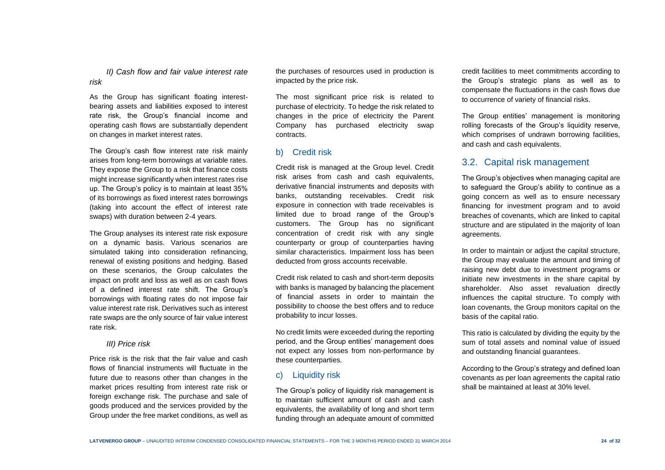*II) Cash flow and fair value interest rate risk*

As the Group has significant floating interestbearing assets and liabilities exposed to interest rate risk, the Group's financial income and operating cash flows are substantially dependent on changes in market interest rates.

The Group's cash flow interest rate risk mainly arises from long-term borrowings at variable rates. They expose the Group to a risk that finance costs might increase significantly when interest rates rise up. The Group's policy is to maintain at least 35% of its borrowings as fixed interest rates borrowings (taking into account the effect of interest rate swaps) with duration between 2-4 years.

The Group analyses its interest rate risk exposure on a dynamic basis. Various scenarios are simulated taking into consideration refinancing, renewal of existing positions and hedging. Based on these scenarios, the Group calculates the impact on profit and loss as well as on cash flows of a defined interest rate shift. The Group's borrowings with floating rates do not impose fair value interest rate risk. Derivatives such as interest rate swaps are the only source of fair value interest rate risk.

#### *III) Price risk*

Price risk is the risk that the fair value and cash flows of financial instruments will fluctuate in the future due to reasons other than changes in the market prices resulting from interest rate risk or foreign exchange risk. The purchase and sale of goods produced and the services provided by the Group under the free market conditions, as well as

the purchases of resources used in production is impacted by the price risk.

The most significant price risk is related to purchase of electricity. To hedge the risk related to changes in the price of electricity the Parent Company has purchased electricity swap contracts.

#### b) Credit risk

Credit risk is managed at the Group level. Credit risk arises from cash and cash equivalents, derivative financial instruments and deposits with banks, outstanding receivables. Credit risk exposure in connection with trade receivables is limited due to broad range of the Group's customers. The Group has no significant concentration of credit risk with any single counterparty or group of counterparties having similar characteristics. Impairment loss has been deducted from gross accounts receivable.

Credit risk related to cash and short-term deposits with banks is managed by balancing the placement of financial assets in order to maintain the possibility to choose the best offers and to reduce probability to incur losses.

No credit limits were exceeded during the reporting period, and the Group entities' management does not expect any losses from non-performance by these counterparties.

#### c) Liquidity risk

The Group's policy of liquidity risk management is to maintain sufficient amount of cash and cash equivalents, the availability of long and short term funding through an adequate amount of committed credit facilities to meet commitments according to the Group's strategic plans as well as to compensate the fluctuations in the cash flows due to occurrence of variety of financial risks.

The Group entities' management is monitoring rolling forecasts of the Group's liquidity reserve, which comprises of undrawn borrowing facilities. and cash and cash equivalents.

#### 3.2. Capital risk management

The Group's objectives when managing capital are to safeguard the Group's ability to continue as a going concern as well as to ensure necessary financing for investment program and to avoid breaches of covenants, which are linked to capital structure and are stipulated in the majority of loan agreements.

In order to maintain or adjust the capital structure, the Group may evaluate the amount and timing of raising new debt due to investment programs or initiate new investments in the share capital by shareholder. Also asset revaluation directly influences the capital structure. To comply with loan covenants, the Group monitors capital on the basis of the capital ratio.

This ratio is calculated by dividing the equity by the sum of total assets and nominal value of issued and outstanding financial guarantees.

According to the Group's strategy and defined loan covenants as per loan agreements the capital ratio shall be maintained at least at 30% level.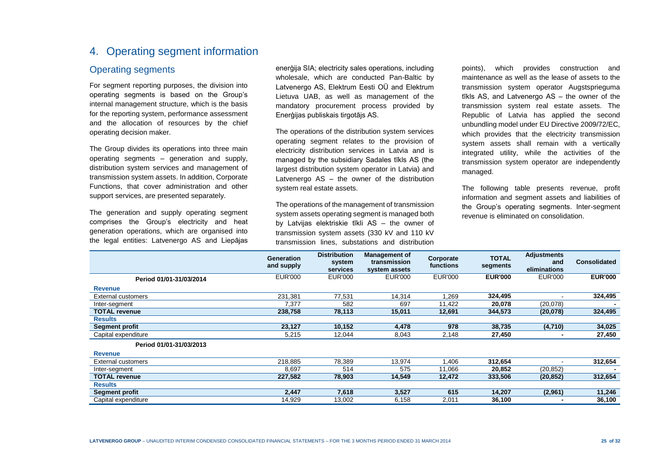## 4. Operating segment information

#### Operating segments

For segment reporting purposes, the division into operating segments is based on the Group's internal management structure, which is the basis for the reporting system, performance assessment and the allocation of resources by the chief operating decision maker.

The Group divides its operations into three main operating segments – generation and supply, distribution system services and management of transmission system assets. In addition, Corporate Functions, that cover administration and other support services, are presented separately.

The generation and supply operating segment comprises the Group's electricity and heat generation operations, which are organised into the legal entities: Latvenergo AS and Liepājas

enerģija SIA; electricity sales operations, including wholesale, which are conducted Pan-Baltic by Latvenergo AS, Elektrum Eesti OÜ and Elektrum Lietuva UAB, as well as management of the mandatory procurement process provided by Enerģijas publiskais tirgotājs AS.

The operations of the distribution system services operating segment relates to the provision of electricity distribution services in Latvia and is managed by the subsidiary Sadales tīkls AS (the largest distribution system operator in Latvia) and Latvenergo AS – the owner of the distribution system real estate assets.

The operations of the management of transmission system assets operating segment is managed both by Latvijas elektriskie tīkli AS – the owner of transmission system assets (330 kV and 110 kV transmission lines, substations and distribution

points), which provides construction and maintenance as well as the lease of assets to the transmission system operator Augstsprieguma tīkls AS, and Latvenergo AS – the owner of the transmission system real estate assets. The Republic of Latvia has applied the second unbundling model under EU Directive 2009/72/EC, which provides that the electricity transmission system assets shall remain with a vertically integrated utility, while the activities of the transmission system operator are independently managed.

The following table presents revenue, profit information and segment assets and liabilities of the Group's operating segments. Inter-segment revenue is eliminated on consolidation.

|                         | <b>Generation</b><br>and supply | <b>Distribution</b><br>system<br>services | <b>Management of</b><br>transmission<br>system assets | Corporate<br>functions | <b>TOTAL</b><br>segments | <b>Adjustments</b><br>and<br>eliminations | <b>Consolidated</b> |
|-------------------------|---------------------------------|-------------------------------------------|-------------------------------------------------------|------------------------|--------------------------|-------------------------------------------|---------------------|
| Period 01/01-31/03/2014 | <b>EUR'000</b>                  | <b>EUR'000</b>                            | <b>EUR'000</b>                                        | <b>EUR'000</b>         | <b>EUR'000</b>           | <b>EUR'000</b>                            | <b>EUR'000</b>      |
| <b>Revenue</b>          |                                 |                                           |                                                       |                        |                          |                                           |                     |
| External customers      | 231,381                         | 77,531                                    | 14,314                                                | 1,269                  | 324,495                  |                                           | 324,495             |
| Inter-segment           | 7,377                           | 582                                       | 697                                                   | 11,422                 | 20.078                   | (20,078)                                  |                     |
| <b>TOTAL revenue</b>    | 238,758                         | 78,113                                    | 15,011                                                | 12,691                 | 344,573                  | (20, 078)                                 | 324,495             |
| <b>Results</b>          |                                 |                                           |                                                       |                        |                          |                                           |                     |
| Segment profit          | 23,127                          | 10,152                                    | 4,478                                                 | 978                    | 38,735                   | (4,710)                                   | 34,025              |
| Capital expenditure     | 5,215                           | 12,044                                    | 8,043                                                 | 2,148                  | 27,450                   |                                           | 27,450              |
| Period 01/01-31/03/2013 |                                 |                                           |                                                       |                        |                          |                                           |                     |
| <b>Revenue</b>          |                                 |                                           |                                                       |                        |                          |                                           |                     |
| External customers      | 218,885                         | 78,389                                    | 13,974                                                | 1,406                  | 312,654                  | ٠                                         | 312,654             |
| Inter-segment           | 8,697                           | 514                                       | 575                                                   | 11,066                 | 20,852                   | (20, 852)                                 |                     |
| <b>TOTAL revenue</b>    | 227,582                         | 78,903                                    | 14,549                                                | 12,472                 | 333,506                  | (20, 852)                                 | 312,654             |
| <b>Results</b>          |                                 |                                           |                                                       |                        |                          |                                           |                     |
| <b>Segment profit</b>   | 2,447                           | 7,618                                     | 3,527                                                 | 615                    | 14,207                   | (2,961)                                   | 11,246              |
| Capital expenditure     | 14,929                          | 13,002                                    | 6,158                                                 | 2,011                  | 36,100                   | $\blacksquare$                            | 36,100              |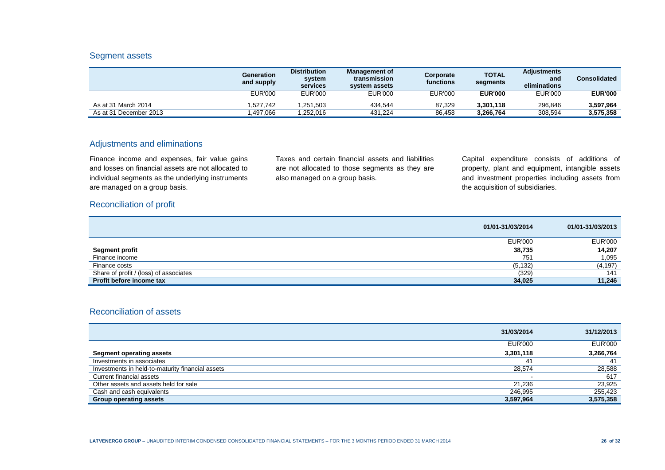#### Segment assets

|                        | Generation<br>and supply | <b>Distribution</b><br>system<br>services | <b>Management of</b><br>transmission<br>system assets | Corporate<br>functions | <b>TOTAL</b><br>segments | <b>Adjustments</b><br>and<br>eliminations | <b>Consolidated</b> |
|------------------------|--------------------------|-------------------------------------------|-------------------------------------------------------|------------------------|--------------------------|-------------------------------------------|---------------------|
|                        | <b>EUR'000</b>           | <b>EUR'000</b>                            | EUR'000                                               | <b>EUR'000</b>         | <b>EUR'000</b>           | <b>EUR'000</b>                            | <b>EUR'000</b>      |
| As at 31 March 2014    | .527.742                 | 1,251,503                                 | 434,544                                               | 87.329                 | 3.301.118                | 296.846                                   | 3.597.964           |
| As at 31 December 2013 | .497.066                 | 1.252.016                                 | 431.224                                               | 86.458                 | 3,266,764                | 308,594                                   | 3,575,358           |

#### Adjustments and eliminations

Finance income and expenses, fair value gains and losses on financial assets are not allocated to individual segments as the underlying instruments are managed on a group basis.

Taxes and certain financial assets and liabilities are not allocated to those segments as they are also managed on a group basis.

Capital expenditure consists of additions of property, plant and equipment, intangible assets and investment properties including assets from the acquisition of subsidiaries.

#### Reconciliation of profit

|                                        | 01/01-31/03/2014 | 01/01-31/03/2013 |
|----------------------------------------|------------------|------------------|
|                                        | <b>EUR'000</b>   | <b>EUR'000</b>   |
| <b>Segment profit</b>                  | 38,735           | 14,207           |
| Finance income                         | 751              | 1,095            |
| Finance costs                          | (5, 132)         | (4, 197)         |
| Share of profit / (loss) of associates | (329)            | 141              |
| Profit before income tax               | 34,025           | 11,246           |

#### Reconciliation of assets

|                                                  | 31/03/2014     | 31/12/2013     |
|--------------------------------------------------|----------------|----------------|
|                                                  | <b>EUR'000</b> | <b>EUR'000</b> |
| <b>Segment operating assets</b>                  | 3,301,118      | 3,266,764      |
| Investments in associates                        | 41             | 41             |
| Investments in held-to-maturity financial assets | 28,574         | 28,588         |
| Current financial assets                         |                | 617            |
| Other assets and assets held for sale            | 21.236         | 23,925         |
| Cash and cash equivalents                        | 246.995        | 255,423        |
| <b>Group operating assets</b>                    | 3,597,964      | 3,575,358      |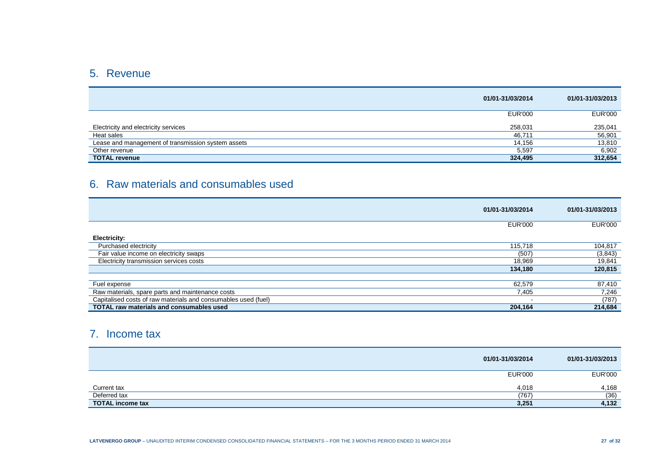## 5. Revenue

|                                                    | 01/01-31/03/2014 | 01/01-31/03/2013 |
|----------------------------------------------------|------------------|------------------|
|                                                    | <b>EUR'000</b>   | <b>EUR'000</b>   |
| Electricity and electricity services               | 258,031          | 235,041          |
| Heat sales                                         | 46,711           | 56,901           |
| Lease and management of transmission system assets | 14,156           | 13,810           |
| Other revenue                                      | 5,597            | 6,902            |
| <b>TOTAL revenue</b>                               | 324,495          | 312,654          |

## 6. Raw materials and consumables used

|                                                                | 01/01-31/03/2014 | 01/01-31/03/2013 |
|----------------------------------------------------------------|------------------|------------------|
|                                                                | <b>EUR'000</b>   | <b>EUR'000</b>   |
| <b>Electricity:</b>                                            |                  |                  |
| Purchased electricity                                          | 115,718          | 104,817          |
| Fair value income on electricity swaps                         | (507)            | (3, 843)         |
| Electricity transmission services costs                        | 18,969           | 19,841           |
|                                                                | 134,180          | 120,815          |
|                                                                |                  |                  |
| Fuel expense                                                   | 62,579           | 87,410           |
| Raw materials, spare parts and maintenance costs               | 7,405            | 7,246            |
| Capitalised costs of raw materials and consumables used (fuel) |                  | (787)            |
| <b>TOTAL raw materials and consumables used</b>                | 204,164          | 214,684          |

## 7. Income tax

|                         | 01/01-31/03/2014 | 01/01-31/03/2013 |
|-------------------------|------------------|------------------|
|                         | EUR'000          | <b>EUR'000</b>   |
| Current tax             | 4,018            | 4,168            |
| Deferred tax            | (767)            | (36)             |
| <b>TOTAL income tax</b> | 3,251            | 4,132            |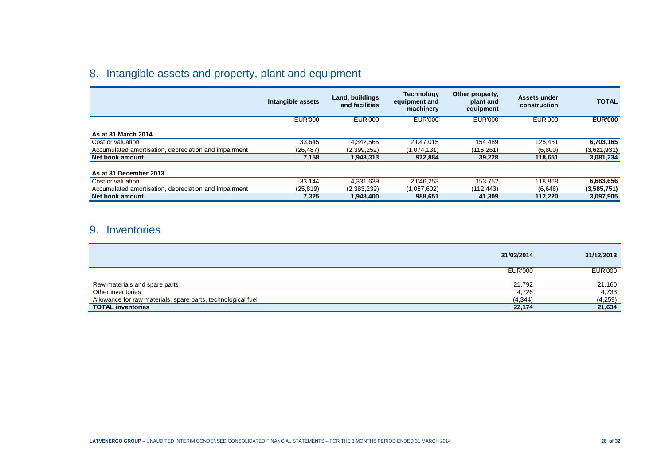## 8. Intangible assets and property, plant and equipment

|                                                       | Intangible assets | Land, buildings<br>and facilities | <b>Technology</b><br>equipment and<br>machinery | Other property,<br>plant and<br>equipment | Assets under<br>construction | <b>TOTAL</b>   |
|-------------------------------------------------------|-------------------|-----------------------------------|-------------------------------------------------|-------------------------------------------|------------------------------|----------------|
|                                                       | <b>EUR'000</b>    | <b>EUR'000</b>                    | EUR'000                                         | <b>EUR'000</b>                            | EUR'000                      | <b>EUR'000</b> |
| As at 31 March 2014                                   |                   |                                   |                                                 |                                           |                              |                |
| Cost or valuation                                     | 33.645            | 4.342.565                         | 2.047.015                                       | 154.489                                   | 125.451                      | 6,703,165      |
| Accumulated amortisation, depreciation and impairment | (26, 487)         | (2,399,252)                       | (1,074,131)                                     | (115.261)                                 | (6,800)                      | (3,621,931)    |
| Net book amount                                       | 7,158             | 1,943,313                         | 972.884                                         | 39,228                                    | 118.651                      | 3,081,234      |
|                                                       |                   |                                   |                                                 |                                           |                              |                |
| As at 31 December 2013                                |                   |                                   |                                                 |                                           |                              |                |
| Cost or valuation                                     | 33,144            | 4,331,639                         | 2.046.253                                       | 153.752                                   | 118,868                      | 6,683,656      |
| Accumulated amortisation, depreciation and impairment | (25, 819)         | (2,383,239)                       | (1,057,602)                                     | (112.443)                                 | (6,648)                      | (3,585,751)    |
| Net book amount                                       | 7,325             | 1,948,400                         | 988,651                                         | 41,309                                    | 112.220                      | 3,097,905      |

### 9. Inventories

|                                                              | 31/03/2014     | 31/12/2013     |
|--------------------------------------------------------------|----------------|----------------|
|                                                              | <b>EUR'000</b> | <b>EUR'000</b> |
| Raw materials and spare parts                                | 21.792         | 21,160         |
| Other inventories                                            | 4,726          | 4,733          |
| Allowance for raw materials, spare parts, technological fuel | (4, 344)       | (4,259)        |
| <b>TOTAL inventories</b>                                     | 22,174         | 21,634         |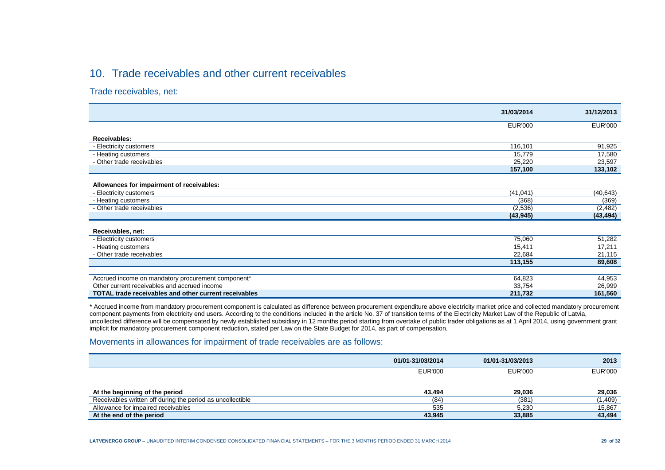## 10. Trade receivables and other current receivables

Trade receivables, net:

|                                                              | 31/03/2014     | 31/12/2013     |
|--------------------------------------------------------------|----------------|----------------|
|                                                              | <b>EUR'000</b> | <b>EUR'000</b> |
|                                                              |                |                |
| Receivables:                                                 |                |                |
| - Electricity customers                                      | 116,101        | 91,925         |
| - Heating customers                                          | 15,779         | 17,580         |
| - Other trade receivables                                    | 25,220         | 23,597         |
|                                                              | 157,100        | 133,102        |
|                                                              |                |                |
| Allowances for impairment of receivables:                    |                |                |
| - Electricity customers                                      | (41, 041)      | (40, 643)      |
| - Heating customers                                          | (368)          | (369)          |
| - Other trade receivables                                    | (2,536)        | (2,482)        |
|                                                              | (43, 945)      | (43, 494)      |
|                                                              |                |                |
| Receivables, net:                                            |                |                |
| - Electricity customers                                      | 75,060         | 51,282         |
| - Heating customers                                          | 15,411         | 17,211         |
| - Other trade receivables                                    | 22,684         | 21,115         |
|                                                              | 113,155        | 89,608         |
|                                                              |                |                |
| Accrued income on mandatory procurement component*           | 64,823         | 44,953         |
| Other current receivables and accrued income                 | 33,754         | 26,999         |
| <b>TOTAL trade receivables and other current receivables</b> | 211,732        | 161,560        |

\* Accrued income from mandatory procurement component is calculated as difference between procurement expenditure above electricity market price and collected mandatory procurement component payments from electricity end users. According to the conditions included in the article No. 37 of transition terms of the Electricity Market Law of the Republic of Latvia, uncollected difference will be compensated by newly established subsidiary in 12 months period starting from overtake of public trader obligations as at 1 April 2014, using government grant implicit for mandatory procurement component reduction, stated per Law on the State Budget for 2014, as part of compensation.

#### Movements in allowances for impairment of trade receivables are as follows:

|                                                            | 01/01-31/03/2014 | 01/01-31/03/2013 | 2013           |
|------------------------------------------------------------|------------------|------------------|----------------|
|                                                            | EUR'000          | <b>EUR'000</b>   | <b>EUR'000</b> |
| At the beginning of the period                             | 43.494           | 29,036           | 29,036         |
| Receivables written off during the period as uncollectible | (84)             | (381)            | (1,409)        |
| Allowance for impaired receivables                         | 535              | 5,230            | 15,867         |
| At the end of the period                                   | 43,945           | 33,885           | 43,494         |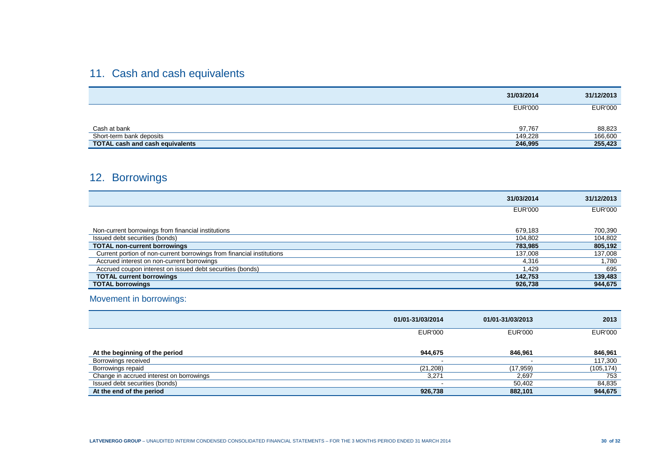## 11. Cash and cash equivalents

| 31/03/2014                                        | 31/12/2013     |
|---------------------------------------------------|----------------|
| <b>EUR'000</b>                                    | <b>EUR'000</b> |
| 97,767<br>Cash at bank                            | 88,823         |
| Short-term bank deposits<br>149,228               | 166,600        |
| <b>TOTAL cash and cash equivalents</b><br>246,995 | 255,423        |

## 12. Borrowings

|                                                                       | 31/03/2014     | 31/12/2013     |
|-----------------------------------------------------------------------|----------------|----------------|
|                                                                       | <b>EUR'000</b> | <b>EUR'000</b> |
|                                                                       |                |                |
| Non-current borrowings from financial institutions                    | 679,183        | 700,390        |
| Issued debt securities (bonds)                                        | 104,802        | 104,802        |
| <b>TOTAL non-current borrowings</b>                                   | 783,985        | 805,192        |
| Current portion of non-current borrowings from financial institutions | 137,008        | 137,008        |
| Accrued interest on non-current borrowings                            | 4,316          | .780           |
| Accrued coupon interest on issued debt securities (bonds)             | 1.429          | 695            |
| <b>TOTAL current borrowings</b>                                       | 142,753        | 139,483        |
| <b>TOTAL borrowings</b>                                               | 926,738        | 944,675        |

### Movement in borrowings:

|                                          | 01/01-31/03/2014 | 01/01-31/03/2013 | 2013           |
|------------------------------------------|------------------|------------------|----------------|
|                                          | EUR'000          | <b>EUR'000</b>   | <b>EUR'000</b> |
| At the beginning of the period           | 944,675          | 846.961          | 846,961        |
| Borrowings received                      |                  |                  | 117,300        |
| Borrowings repaid                        | (21, 208)        | (17, 959)        | (105,174)      |
| Change in accrued interest on borrowings | 3,271            | 2,697            | 753            |
| Issued debt securities (bonds)           |                  | 50,402           | 84,835         |
| At the end of the period                 | 926,738          | 882,101          | 944,675        |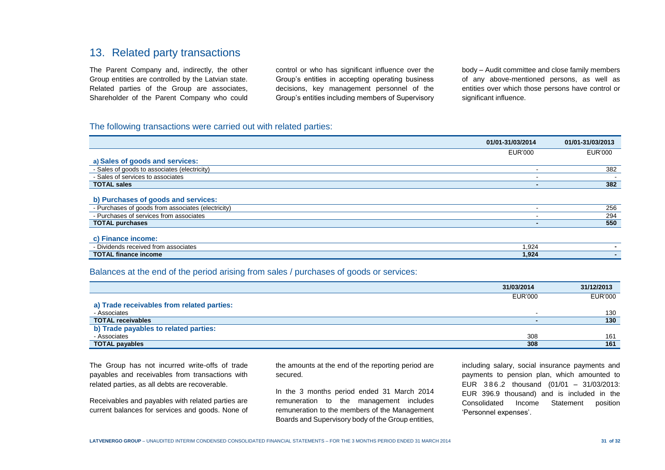### 13. Related party transactions

The Parent Company and, indirectly, the other Group entities are controlled by the Latvian state. Related parties of the Group are associates, Shareholder of the Parent Company who could control or who has significant influence over the Group's entities in accepting operating business decisions, key management personnel of the Group's entities including members of Supervisory

body – Audit committee and close family members of any above-mentioned persons, as well as entities over which those persons have control or significant influence.

#### The following transactions were carried out with related parties:

|                                                    | 01/01-31/03/2014 | 01/01-31/03/2013 |
|----------------------------------------------------|------------------|------------------|
|                                                    | <b>EUR'000</b>   | EUR'000          |
| a) Sales of goods and services:                    |                  |                  |
| - Sales of goods to associates (electricity)       |                  | 382              |
| - Sales of services to associates                  |                  |                  |
| <b>TOTAL sales</b>                                 |                  | 382              |
|                                                    |                  |                  |
| b) Purchases of goods and services:                |                  |                  |
| - Purchases of goods from associates (electricity) |                  | 256              |
| - Purchases of services from associates            |                  | 294              |
| <b>TOTAL purchases</b>                             |                  | 550              |
|                                                    |                  |                  |
| c) Finance income:                                 |                  |                  |
| - Dividends received from associates               | 1,924            |                  |
| <b>TOTAL finance income</b>                        | 1,924            |                  |

#### Balances at the end of the period arising from sales / purchases of goods or services:

|                                            | 31/03/2014 | 31/12/2013     |
|--------------------------------------------|------------|----------------|
|                                            | EUR'000    | <b>EUR'000</b> |
| a) Trade receivables from related parties: |            |                |
| - Associates                               |            | 130            |
| <b>TOTAL receivables</b>                   |            | 130            |
| b) Trade payables to related parties:      |            |                |
| - Associates                               | 308        | 161            |
| <b>TOTAL payables</b>                      | 308        | 161            |

The Group has not incurred write-offs of trade payables and receivables from transactions with related parties, as all debts are recoverable.

Receivables and payables with related parties are current balances for services and goods. None of the amounts at the end of the reporting period are secured.

In the 3 months period ended 31 March 2014 remuneration to the management includes remuneration to the members of the Management Boards and Supervisory body of the Group entities, including salary, social insurance payments and payments to pension plan, which amounted to EUR 3 8 6 .2 thousand (01/01 – 31/03/2013: EUR 396.9 thousand) and is included in the Consolidated Income Statement position 'Personnel expenses'.